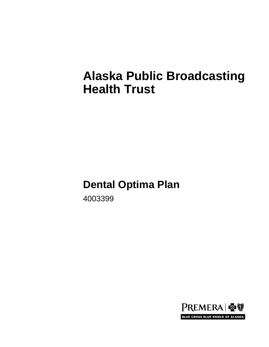# **Alaska Public Broadcasting Health Trust**

# **Dental Optima Plan**

4003399

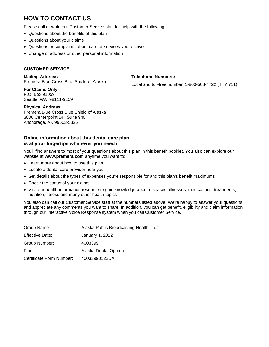# **HOW TO CONTACT US**

Please call or write our Customer Service staff for help with the following:

- Questions about the benefits of this plan
- Questions about your claims
- Questions or complaints about care or services you receive
- Change of address or other personal information

#### **CUSTOMER SERVICE**

**Mailing Address**: Premera Blue Cross Blue Shield of Alaska

**For Claims Only** P.O. Box 91059 Seattle, WA 98111-9159

**Telephone Numbers:**

Local and toll-free number: 1-800-508-4722 (TTY 711)

**Physical Address**: Premera Blue Cross Blue Shield of Alaska 3800 Centerpoint Dr., Suite 940 Anchorage, AK 99503-5825

#### **Online information about this dental care plan is at your fingertips whenever you need it**

You'll find answers to most of your questions about this plan in this benefit booklet. You also can explore our website at **www.premera.com** anytime you want to:

- Learn more about how to use this plan
- Locate a dental care provider near you
- Get details about the types of expenses you're responsible for and this plan's benefit maximums
- Check the status of your claims
- Visit our health-information resource to gain knowledge about diseases, illnesses, medications, treatments, nutrition, fitness and many other health topics

You also can call our Customer Service staff at the numbers listed above. We're happy to answer your questions and appreciate any comments you want to share. In addition, you can get benefit, eligibility and claim information through our Interactive Voice Response system when you call Customer Service.

| Group Name:              | Alaska Public Broadcasting Health Trust |
|--------------------------|-----------------------------------------|
| <b>Effective Date:</b>   | January 1, 2022                         |
| Group Number:            | 4003399                                 |
| Plan:                    | Alaska Dental Optima                    |
| Certificate Form Number: | 40033990122DA                           |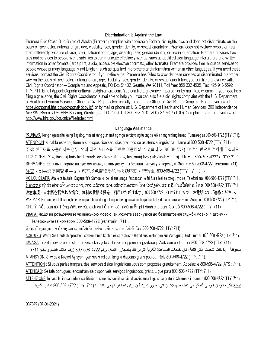#### Discrimination is Against the Law

Premera Blue Cross Blue Shield of Alaska (Premera) complies with applicable Federal civil rights laws and does not discriminate on the basis of race, color, national origin, age, disability, sex, gender identity, or sexual orientation. Premera does not exclude people or treat them differently because of race, color, national origin, age, disability, sex, gender identity, or sexual orientation. Premera provides free aids and services to people with disabilities to communicate effectively with us, such as qualified sign language interpreters and written information in other formats (large print, audio, accessible electronic formats, other formats). Premera provides free language services to people whose primary language is not English, such as qualified interpreters and information written in other languages. If you need these services, contact the Civil Rights Coordinator. If you believe that Premera has failed to provide these services or discriminated in another way on the basis of race, color, national origin, age, disability, sex, gender identity, or sexual orientation, you can file a grievance with: Civil Rights Coordinator - Complaints and Appeals, PO Box 91102, Seattle, WA 98111, Toll free: 855-332-4535, Fax: 425-918-5592, TTY: 711, Email AppealsDepartmentInquiries@Premera.com. You can file a grievance in person or by mail, fax, or email. If you need help filing a grievance, the Civil Rights Coordinator is available to help you. You can also file a civil rights complaint with the U.S. Department of Health and Human Services, Office for Civil Rights, electronically through the Office for Civil Rights Complaint Portal, available at https://ocrportal.hhs.gov/ocr/portal/lobby.jsf, or by mail or phone at: U.S. Department of Health and Human Services, 200 Independence Ave SW, Room 509F, HHH Building, Washington, D.C. 20201, 1-800-368-1019, 800-537-7697 (TDD). Complaint forms are available at http://www.hhs.gov/ocr/office/file/index.html.

#### Language Assistance

PAUNAWA: Kung nagsasalita ka ng Tagalog, maaari kang gumamit ng mga serbisyo ng tulong sa wika nang walang bayad. Tumawag sa 800-508-4722 (TTY: 711). ATENCIÓN: si habla español, tiene a su disposición servicios gratuitos de asistencia lingüística. Llame al 800-508-4722 (TTY: 711). 주의: 한국어를 사용하시는 경우, 언어 지원 서비스를 무료로 이용하실 수 있습니다. 800-508-4722 (TTY: 711) 번으로 전화해 주십시오. LUS CEEV: Yog tias koj hais lus Hmoob, cov kev pab txog lus, muaj kev pab dawb rau koj. Hu rau 800-508-4722 (TTY: 711). ВНИМАНИЕ: Если вы говорите на русском языке, то вам доступны бесплатные услуги перевода. Звоните 800-508-4722 (телетайп: 711). 注意:如果您使用繁體中文,您可以免費獲得語言援助服務。請致電 800-508-4722 (TTY:711) 。 MO LOU SILAFIA: Afai e te tautala Gagana fa'a Sāmoa, o loo iai auaunaga fesoasoan, e fai fua e leai se totogi, mo oe, Telefoni mai: 800-508-4722 (TTY: 711). <u> ໂປດຊາບ</u>: ຖ້າວ່າ ທ່ານເວົ້າພາສາ ລາວ, ການບໍລິການຊ່ວຍເຫຼືອດ້ານພາສາ, ໂດຍບໍ່ເສັງຄາ, ແມ່ນມືພັອມໃຫ້ທ່ານ. ໂທຣ 800-508-4722 (TTY: 711). 注意事項:日本語を話される場合、無料の言語支援をご利用いただけます。800-508-4722 (TTY:711) まで、お電話にてご連絡ください。 PAKDAAR: Nu saritaem ti Ilocano, ti serbisyo para ti baddang ti lengguahe nga awanan bayadna, ket sidadaan para kenyam. Awagan ti 800-508-4722 (TTY: 711). CHÚ Ý: Nếu ban nói Tiếng Việt, có các dịch vụ hỗ trợ ngôn ngữ miễn phí dành cho ban. Gọi số 800-508-4722 (TTY: 711). УВАГА! Якщо ви розмовляєте українською мовою, ви можете звернутися до безкоштовної служби мовної підтримки.

Телефонуйте за номером 800-508-4722 (телетайп: 711).

<u>เรียน</u>: ถ้าคุณพูดภาษาไทยคุณสามารถใช้บริการช่วยเหลือทางภาษาได้ฟรี โทร 800-508-4722 (TTY: 711).

ACHTUNG: Wenn Sie Deutsch sprechen, stehen Ihnen kostenlos sprachliche Hilfsdienstleistungen zur Verfügung. Rufnummer: 800-508-4722 (TTY: 711). UWAGA: Jeżeli mówisz po polsku, możesz skorzystać z bezpłatnej pomocy językowej. Zadzwoń pod numer 800-508-4722 (TTY: 711).

ملحوظة: إذا كنت تتحدث اذكر اللغة، فإن خدمات المساعدة اللغوية تتوافر لك بالمجان. اتصل برقم 4722-508-800 (رقم هاتف الصم والبكم: 711). ATANSYON: Si w pale Kreyol Ayisyen, gen sevis ed pou lang ki disponib gratis pou ou. Rele 800-508-4722 (TTY: 711).

ATTENTION: Si vous parlez français, des services d'aide linguistique vous sont proposés gratuitement. Appelez le 800-508-4722 (ATS: 711). ATENÇÃO: Se fala português, encontram-se disponíveis serviços linguísticos, grátis. Ligue para 800-508-4722 (TTY: 711).

ATTENZIONE: In caso la lingua parlata sia l'italiano, sono disponibili servizi di assistenza linguistica gratuiti. Chiamare il numero 800-508-4722 (TTY: 711). **توجه:** اگر به زبان فارسی گفتگو می کنید، تسهیلات زبانی بصورت رایگان برای شما فراهم می باشد. با (711/ 717) 472-008-800 تماس بگیرید.

037379 (07-01-2021)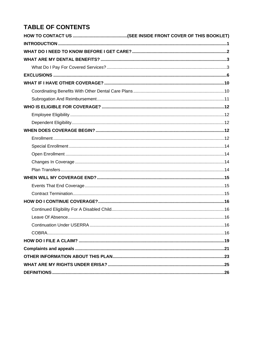# **TABLE OF CONTENTS**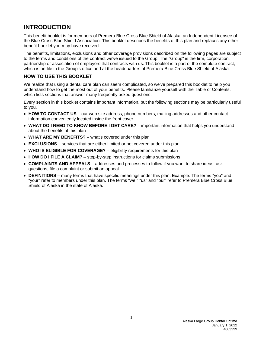# <span id="page-4-0"></span>**INTRODUCTION**

This benefit booklet is for members of Premera Blue Cross Blue Shield of Alaska, an Independent Licensee of the Blue Cross Blue Shield Association. This booklet describes the benefits of this plan and replaces any other benefit booklet you may have received.

The benefits, limitations, exclusions and other coverage provisions described on the following pages are subject to the terms and conditions of the contract we've issued to the Group. The "Group" is the firm, corporation, partnership or association of employers that contracts with us. This booklet is a part of the complete contract, which is on file in the Group's office and at the headquarters of Premera Blue Cross Blue Shield of Alaska.

# **HOW TO USE THIS BOOKLET**

We realize that using a dental care plan can seem complicated, so we've prepared this booklet to help you understand how to get the most out of your benefits. Please familiarize yourself with the Table of Contents, which lists sections that answer many frequently asked questions.

Every section in this booklet contains important information, but the following sections may be particularly useful to you.

- **HOW TO CONTACT US** our web site address, phone numbers, mailing addresses and other contact information conveniently located inside the front cover
- **WHAT DO I NEED TO KNOW BEFORE I GET CARE?** important information that helps you understand about the benefits of this plan
- **WHAT ARE MY BENEFITS?** what's covered under this plan
- **EXCLUSIONS** services that are either limited or not covered under this plan
- **WHO IS ELIGIBLE FOR COVERAGE?** eligibility requirements for this plan
- **HOW DO I FILE A CLAIM?** step-by-step instructions for claims submissions
- **COMPLAINTS AND APPEALS** addresses and processes to follow if you want to share ideas, ask questions, file a complaint or submit an appeal
- **DEFINITIONS** many terms that have specific meanings under this plan. Example: The terms "you" and "your" refer to members under this plan. The terms "we," "us" and "our" refer to Premera Blue Cross Blue Shield of Alaska in the state of Alaska.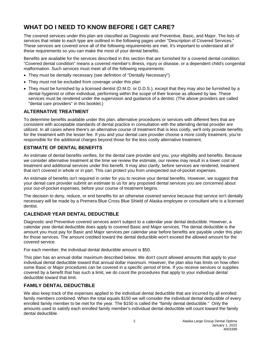# <span id="page-5-0"></span>**WHAT DO I NEED TO KNOW BEFORE I GET CARE?**

The covered services under this plan are classified as Diagnostic and Preventive, Basic, and Major. The lists of services that relate to each type are outlined in the following pages under "Description of Covered Services." These services are covered once all of the following requirements are met. It's important to understand all of these requirements so you can make the most of your dental benefits.

Benefits are available for the services described in this section that are furnished for a covered dental condition. "Covered dental condition" means a covered member's illness, injury or disease, or a dependent child's congenital malformation. Such services must meet all of the following requirements:

- They must be dentally necessary (see definition of "Dentally Necessary")
- They must not be excluded from coverage under this plan
- They must be furnished by a licensed dentist (D.M.D. or D.D.S.), except that they may also be furnished by a dental hygienist or other individual, performing within the scope of their license as allowed by law. These services must be rendered under the supervision and guidance of a dentist. (The above providers are called "dental care providers" in this booklet.)

# **ALTERNATIVE TREATMENT**

To determine benefits available under this plan, alternative procedures or services with different fees that are consistent with acceptable standards of dental practice in consultation with the attending dental provider are utilized. In all cases where there's an alternative course of treatment that is less costly, we'll only provide benefits for the treatment with the lesser fee. If you and your dental care provider choose a more costly treatment, you're responsible for the additional charges beyond those for the less costly alternative treatment.

# **ESTIMATE OF DENTAL BENEFITS**

An estimate of dental benefits verifies, for the dental care provider and you, your eligibility and benefits. Because we consider alternative treatment at the time we review the estimate, our review may result in a lower cost of treatment and additional services under this benefit. It may also clarify, before services are rendered, treatment that isn't covered in whole or in part. This can protect you from unexpected out-of-pocket expenses.

An estimate of benefits isn't required in order for you to receive your dental benefits. However, we suggest that your dental care provider submit an estimate to us for any proposed dental services you are concerned about your out-of-pocket expenses, before your course of treatment begins.

The decision to deny, reduce, or end benefits for an otherwise covered service because that service isn't dentally necessary will be made by a Premera Blue Cross Blue Shield of Alaska employee or consultant who is a licensed dentist.

# **CALENDAR YEAR DENTAL DEDUCTIBLE**

Diagnostic and Preventive covered services aren't subject to a calendar year dental deductible. However, a calendar year dental deductible does apply to covered Basic and Major services. The dental deductible is the amount you must pay for Basic and Major services per calendar year before benefits are payable under this plan for those services. The amount credited toward the dental deductible won't exceed the allowed amount for the covered service.

For each member, the individual dental deductible amount is \$50.

This plan has an annual dollar maximum described below. We don't count allowed amounts that apply to your individual dental deductible toward that annual dollar maximum. However, the plan also has limits on how often some Basic or Major procedures can be covered in a specific period of time. If you receive services or supplies covered by a benefit that has such a limit, we do count the procedures that apply to your individual dental deductible toward that limit.

# **FAMILY DENTAL DEDUCTIBLE**

We also keep track of the expenses applied to the individual dental deductible that are incurred by all enrolled family members combined. When the total equals \$150 we will consider the individual dental deductible of every enrolled family member to be met for the year. The \$150 is called the "family dental deductible." Only the amounts used to satisfy each enrolled family member's individual dental deductible will count toward the family dental deductible.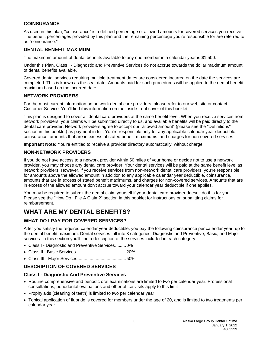# **COINSURANCE**

As used in this plan, "coinsurance" is a defined percentage of allowed amounts for covered services you receive. The benefit percentages provided by this plan and the remaining percentage you're responsible for are referred to as "coinsurance."

# **DENTAL BENEFIT MAXIMUM**

The maximum amount of dental benefits available to any one member in a calendar year is \$1,500.

Under this Plan, Class I - Diagnostic and Preventive Services do not accrue towards the dollar maximum amount of dental benefits available.

Covered dental services requiring multiple treatment dates are considered incurred on the date the services are completed. This is known as the seat date. Amounts paid for such procedures will be applied to the dental benefit maximum based on the incurred date.

# **NETWORK PROVIDERS**

For the most current information on network dental care providers, please refer to our web site or contact Customer Service. You'll find this information on the inside front cover of this booklet.

This plan is designed to cover all dental care providers at the same benefit level. When you receive services from network providers, your claims will be submitted directly to us, and available benefits will be paid directly to the dental care provider. Network providers agree to accept our "allowed amount" (please see the "Definitions" section in this booklet) as payment in full. You're responsible only for any applicable calendar year deductible, coinsurance, amounts that are in excess of stated benefit maximums, and charges for non-covered services.

**Important Note:** You're entitled to receive a provider directory automatically, without charge.

# **NON-NETWORK PROVIDERS**

If you do not have access to a network provider within 50 miles of your home or decide not to use a network provider, you may choose any dental care provider. Your dental services will be paid at the same benefit level as network providers. However, if you receive services from non-network dental care providers, you're responsible for amounts above the allowed amount in addition to any applicable calendar year deductible, coinsurance, amounts that are in excess of stated benefit maximums, and charges for non-covered services. Amounts that are in excess of the allowed amount don't accrue toward your calendar year deductible if one applies.

You may be required to submit the dental claim yourself if your dental care provider doesn't do this for you. Please see the "How Do I File A Claim?" section in this booklet for instructions on submitting claims for reimbursement.

# <span id="page-6-0"></span>**WHAT ARE MY DENTAL BENEFITS?**

# <span id="page-6-1"></span>**WHAT DO I PAY FOR COVERED SERVICES?**

After you satisfy the required calendar year deductible, you pay the following coinsurance per calendar year, up to the dental benefit maximum. Dental services fall into 3 categories: Diagnostic and Preventive, Basic, and Major services. In this section you'll find a description of the services included in each category.

- Class I Diagnostic and Preventive Services.........0%
- Class II Basic Services.........................................20%
- Class III Major Services........................................50%

# **DESCRIPTION OF COVERED SERVICES**

# **Class I - Diagnostic And Preventive Services**

- Routine comprehensive and periodic oral examinations are limited to two per calendar year. Professional consultations, periodontal evaluations and other office visits apply to this limit
- Prophylaxis (cleaning of teeth) is limited to two per calendar year
- Topical application of fluoride is covered for members under the age of 20, and is limited to two treatments per calendar year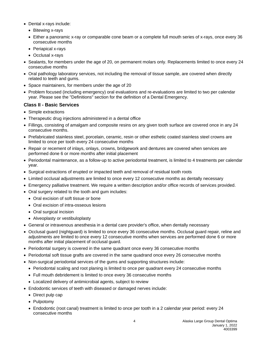- Dental x-rays include:
	- Bitewing x-rays
	- Either a panoramic x-ray or comparable cone beam or a complete full mouth series of x-rays, once every 36 consecutive months
	- Periapical x-rays
	- Occlusal x-rays
- Sealants, for members under the age of 20, on permanent molars only. Replacements limited to once every 24 consecutive months
- Oral pathology laboratory services, not including the removal of tissue sample, are covered when directly related to teeth and gums.
- Space maintainers, for members under the age of 20
- Problem focused (including emergency) oral evaluations and re-evaluations are limited to two per calendar year. Please see the "Definitions" section for the definition of a Dental Emergency.

# **Class II - Basic Services**

- Simple extractions
- Therapeutic drug injections administered in a dental office
- Fillings, consisting of amalgam and composite resins on any given tooth surface are covered once in any 24 consecutive months.
- Prefabricated stainless steel, porcelain, ceramic, resin or other esthetic coated stainless steel crowns are limited to once per tooth every 24 consecutive months
- Repair or recement of inlays, onlays, crowns, bridgework and dentures are covered when services are performed done 6 or more months after initial placement
- Periodontal maintenance, as a follow-up to active periodontal treatment, is limited to 4 treatments per calendar year.
- Surgical extractions of erupted or impacted teeth and removal of residual tooth roots
- Limited occlusal adjustments are limited to once every 12 consecutive months as dentally necessary
- Emergency palliative treatment. We require a written description and/or office records of services provided.
- Oral surgery related to the tooth and gum includes:
	- Oral excision of soft tissue or bone
	- Oral excision of intra-osseous lesions
	- Oral surgical incision
	- Alveoplasty or vestibuloplasty
- General or intravenous anesthesia in a dental care provider's office, when dentally necessary
- Occlusal guard (nightguard) is limited to once every 36 consecutive months. Occlusal guard repair, reline and adjustments are limited to once every 12 consecutive months when services are performed done 6 or more months after initial placement of occlusal guard.
- Periodontal surgery is covered in the same quadrant once every 36 consecutive months
- Periodontal soft tissue grafts are covered in the same quadrand once every 26 consecutive months
- Non-surgical periodontal services of the gums and supporting structures include:
	- Periodontal scaling and root planing is limited to once per quadrant every 24 consecutive months
	- Full mouth debridement is limited to once every 36 consecutive months
	- Localized delivery of antimicrobial agents, subject to review
- Endodontic services of teeth with diseased or damaged nerves include:
	- Direct pulp cap
	- Pulpotomy
	- Endodontic (root canal) treatment is limited to once per tooth in a 2 calendar year period: every 24 consecutive months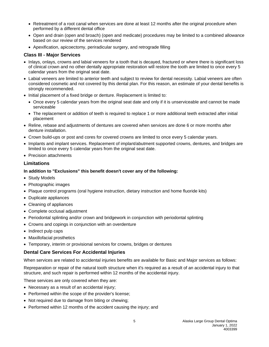- Retreatment of a root canal when services are done at least 12 months after the original procedure when performed by a different dental office
- Open and drain (open and broach) (open and medicate) procedures may be limited to a combined allowance based on our review of the services rendered
- Apexification, apicoectomy, periradicular surgery, and retrograde filling

# **Class III - Major Services**

- Inlays, onlays, crowns and labial veneers for a tooth that is decayed, fractured or where there is significant loss of clinical crown and no other dentally appropriate restoration will restore the tooth are limited to once every 5 calendar years from the original seat date.
- Labial veneers are limited to anterior teeth and subject to review for dental necessity. Labial veneers are often considered cosmetic and not covered by this dental plan. For this reason, an estimate of your dental benefits is strongly recommended.
- Initial placement of a fixed bridge or denture. Replacement is limited to:
	- Once every 5 calendar years from the original seat date and only if it is unserviceable and cannot be made serviceable
	- The replacement or addition of teeth is required to replace 1 or more additional teeth extracted after initial placement
- Reline, rebase and adjustments of dentures are covered when services are done 6 or more months after denture installation.
- Crown build-ups or post and cores for covered crowns are limited to once every 5 calendar years.
- Implants and implant services. Replacement of implant/abutment supported crowns, dentures, and bridges are limited to once every 5 calendar years from the original seat date.
- Precision attachments

# **Limitations**

#### **In addition to "Exclusions" this benefit doesn't cover any of the following:**

- Study Models
- Photographic images
- Plaque control programs (oral hygiene instruction, dietary instruction and home fluoride kits)
- Duplicate appliances
- Cleaning of appliances
- Complete occlusal adjustment
- Periodontal splinting and/or crown and bridgework in conjunction with periodontal splinting
- Crowns and copings in conjunction with an overdenture
- Indirect pulp caps
- Maxillofacial prosthetics
- Temporary, interim or provisional services for crowns, bridges or dentures

# **Dental Care Services For Accidental Injuries**

When services are related to accidental injuries benefits are available for Basic and Major services as follows:

Repreparation or repair of the natural tooth structure when it's required as a result of an accidental injury to that structure, and such repair is performed within 12 months of the accidental injury.

These services are only covered when they are:

- Necessary as a result of an accidental injury;
- Performed within the scope of the provider's license;
- Not required due to damage from biting or chewing;
- Performed within 12 months of the accident causing the injury; and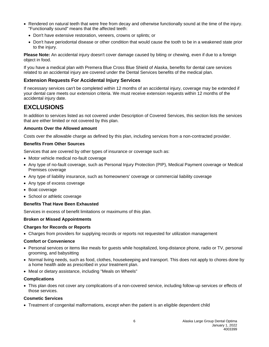- Rendered on natural teeth that were free from decay and otherwise functionally sound at the time of the injury. "Functionally sound" means that the affected teeth:
	- Don't have extensive restoration, veneers, crowns or splints; or
	- Don't have periodontal disease or other condition that would cause the tooth to be in a weakened state prior to the injury.

**Please Note:** An accidental injury doesn't cover damage caused by biting or chewing, even if due to a foreign object in food.

If you have a medical plan with Premera Blue Cross Blue Shield of Alaska, benefits for dental care services related to an accidental injury are covered under the Dental Services benefits of the medical plan.

# **Extension Requests For Accidental Injury Services**

If necessary services can't be completed within 12 months of an accidental injury, coverage may be extended if your dental care meets our extension criteria. We must receive extension requests within 12 months of the accidental injury date.

# <span id="page-9-0"></span>**EXCLUSIONS**

In addition to services listed as not covered under Description of Covered Services, this section lists the services that are either limited or not covered by this plan.

#### **Amounts Over the Allowed amount**

Costs over the allowable charge as defined by this plan, including services from a non-contracted provider.

#### **Benefits From Other Sources**

Services that are covered by other types of insurance or coverage such as:

- Motor vehicle medical no-fault coverage
- Any type of no-fault coverage, such as Personal Injury Protection (PIP), Medical Payment coverage or Medical Premises coverage
- Any type of liability insurance, such as homeowners' coverage or commercial liability coverage
- Any type of excess coverage
- Boat coverage
- School or athletic coverage

#### **Benefits That Have Been Exhausted**

Services in excess of benefit limitations or maximums of this plan.

#### **Broken or Missed Appointments**

#### **Charges for Records or Reports**

• Charges from providers for supplying records or reports not requested for utilization management

#### **Comfort or Convenience**

- Personal services or items like meals for guests while hospitalized, long-distance phone, radio or TV, personal grooming, and babysitting
- Normal living needs, such as food, clothes, housekeeping and transport. This does not apply to chores done by a home health aide as prescribed in your treatment plan.
- Meal or dietary assistance, including "Meals on Wheels"

#### **Complications**

• This plan does not cover any complications of a non-covered service, including follow-up services or effects of those services.

#### **Cosmetic Services**

• Treatment of congenital malformations, except when the patient is an eligible dependent child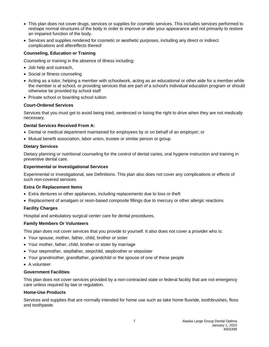- This plan does not cover drugs, services or supplies for cosmetic services. This includes services performed to reshape normal structures of the body in order to improve or alter your appearance and not primarily to restore an impaired function of the body.
- Services and supplies rendered for cosmetic or aesthetic purposes, including any direct or indirect complications and aftereffects thereof

# **Counseling, Education or Training**

Counseling or training in the absence of illness including:

- Job help and outreach,
- Social or fitness counseling
- Acting as a tutor, helping a member with schoolwork, acting as an educational or other aide for a member while the member is at school, or providing services that are part of a school's individual education program or should otherwise be provided by school staff
- Private school or boarding school tuition

#### **Court-Ordered Services**

Services that you must get to avoid being tried, sentenced or losing the right to drive when they are not medically necessary.

#### **Dental Services Received From A:**

- Dental or medical department maintained for employees by or on behalf of an employer; or
- Mutual benefit association, labor union, trustee or similar person or group

#### **Dietary Services**

Dietary planning or nutritional counseling for the control of dental caries, oral hygiene instruction and training in preventive dental care.

#### **Experimental or Investigational Services**

Experimental or investigational, see Definitions. This plan also does not cover any complications or effects of such non-covered services.

#### **Extra Or Replacement Items**

- Extra dentures or other appliances, including replacements due to loss or theft
- Replacement of amalgam or resin-based composite fillings due to mercury or other allergic reactions

# **Facility Charges**

Hospital and ambulatory surgical center care for dental procedures.

# **Family Members Or Volunteers**

This plan does not cover services that you provide to yourself. It also does not cover a provider who is:

- Your spouse, mother, father, child, brother or sister
- Your mother, father, child, brother or sister by marriage
- Your stepmother, stepfather, stepchild, stepbrother or stepsister
- Your grandmother, grandfather, grandchild or the spouse of one of these people
- A volunteer

# **Government Facilities**

This plan does not cover services provided by a non-contracted state or federal facility that are not emergency care unless required by law or regulation.

#### **Home-Use Products**

Services and supplies that are normally intended for home use such as take home fluoride, toothbrushes, floss and toothpaste.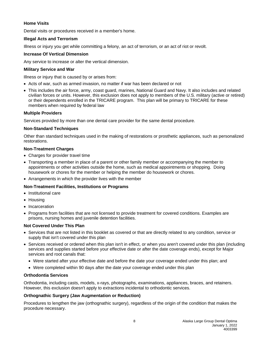# **Home Visits**

Dental visits or procedures received in a member's home.

# **Illegal Acts and Terrorism**

Illness or injury you get while committing a felony, an act of terrorism, or an act of riot or revolt.

# **Increase Of Vertical Dimension**

Any service to increase or alter the vertical dimension.

#### **Military Service and War**

Illness or injury that is caused by or arises from:

- Acts of war, such as armed invasion, no matter if war has been declared or not
- This includes the air force, army, coast guard, marines, National Guard and Navy. It also includes and related civilian forces or units. However, this exclusion does not apply to members of the U.S. military (active or retired) or their dependents enrolled in the TRICARE program. This plan will be primary to TRICARE for these members when required by federal law

# **Multiple Providers**

Services provided by more than one dental care provider for the same dental procedure.

#### **Non-Standard Techniques**

Other than standard techniques used in the making of restorations or prosthetic appliances, such as personalized restorations.

#### **Non-Treatment Charges**

- Charges for provider travel time
- Transporting a member in place of a parent or other family member or accompanying the member to appointments or other activities outside the home, such as medical appointments or shopping. Doing housework or chores for the member or helping the member do housework or chores.
- Arrangements in which the provider lives with the member

# **Non-Treatment Facilities, Institutions or Programs**

- Institutional care
- Housing
- Incarceration
- Programs from facilities that are not licensed to provide treatment for covered conditions. Examples are prisons, nursing homes and juvenile detention facilities.

# **Not Covered Under This Plan**

- Services that are not listed in this booklet as covered or that are directly related to any condition, service or supply that isn't covered under this plan
- Services received or ordered when this plan isn't in effect, or when you aren't covered under this plan (including services and supplies started before your effective date or after the date coverage ends), except for Major services and root canals that:
	- Were started after your effective date and before the date your coverage ended under this plan; and
	- Were completed within 90 days after the date your coverage ended under this plan

# **Orthodontia Services**

Orthodontia, including casts, models, x-rays, photographs, examinations, appliances, braces, and retainers. However, this exclusion doesn't apply to extractions incidental to orthodontic services.

# **Orthognathic Surgery (Jaw Augmentation or Reduction)**

Procedures to lengthen the jaw (orthognathic surgery), regardless of the origin of the condition that makes the procedure necessary.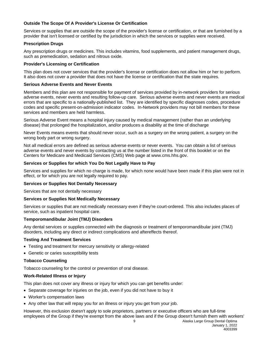# **Outside The Scope Of A Provider's License Or Certification**

Services or supplies that are outside the scope of the provider's license or certification, or that are furnished by a provider that isn't licensed or certified by the jurisdiction in which the services or supplies were received.

# **Prescription Drugs**

Any prescription drugs or medicines. This includes vitamins, food supplements, and patient management drugs, such as premedication, sedation and nitrous oxide.

# **Provider's Licensing or Certification**

This plan does not cover services that the provider's license or certification does not allow him or her to perform. It also does not cover a provider that does not have the license or certification that the state requires.

# **Serious Adverse Events and Never Events**

Members and this plan are not responsible for payment of services provided by in-network providers for serious adverse events, never events and resulting follow-up care. Serious adverse events and never events are medical errors that are specific to a nationally-published list. They are identified by specific diagnoses codes, procedure codes and specific present-on-admission indicator codes. In-Network providers may not bill members for these services and members are held harmless.

Serious Adverse Event means a hospital injury caused by medical management (rather than an underlying disease) that prolonged the hospitalization, and/or produces a disability at the time of discharge

Never Events means events that should never occur, such as a surgery on the wrong patient, a surgery on the wrong body part or wrong surgery.

Not all medical errors are defined as serious adverse events or never events. You can obtain a list of serious adverse events and never events by contacting us at the number listed in the front of this booklet or on the Centers for Medicare and Medicaid Services (CMS) Web page at www.cms.hhs.gov.

# **Services or Supplies for which You Do Not Legally Have to Pay**

Services and supplies for which no charge is made, for which none would have been made if this plan were not in effect, or for which you are not legally required to pay.

# **Services or Supplies Not Dentally Necessary**

Services that are not dentally necessary

# **Services or Supplies Not Medically Necessary**

Services or supplies that are not medically necessary even if they're court-ordered. This also includes places of service, such as inpatient hospital care.

# **Temporomandibular Joint (TMJ) Disorders**

Any dental services or supplies connected with the diagnosis or treatment of temporomandibular joint (TMJ) disorders, including any direct or indirect complications and aftereffects thereof.

# **Testing And Treatment Services**

- Testing and treatment for mercury sensitivity or allergy-related
- Genetic or caries susceptibility tests

# **Tobacco Counseling**

Tobacco counseling for the control or prevention of oral disease.

# **Work-Related Illness or Injury**

This plan does not cover any illness or injury for which you can get benefits under:

- Separate coverage for injuries on the job, even if you did not have to buy it
- Worker's compensation laws
- Any other law that will repay you for an illness or injury you get from your job.

However, this exclusion doesn't apply to sole proprietors, partners or executive officers who are full-time employees of the Group if they're exempt from the above laws and if the Group doesn't furnish them with workers'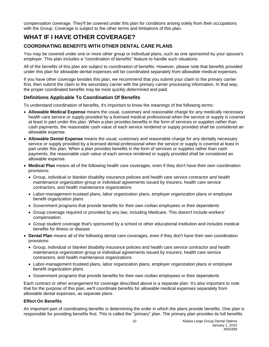compensation coverage. They'll be covered under this plan for conditions arising solely from their occupations with the Group. Coverage is subject to the other terms and limitations of this plan.

# <span id="page-13-0"></span>**WHAT IF I HAVE OTHER COVERAGE?**

# <span id="page-13-1"></span>**COORDINATING BENEFITS WITH OTHER DENTAL CARE PLANS**

You may be covered under one or more other group or individual plans, such as one sponsored by your spouse's employer. This plan includes a "coordination of benefits" feature to handle such situations.

All of the benefits of this plan are subject to coordination of benefits. However, please note that benefits provided under this plan for allowable dental expenses will be coordinated separately from allowable medical expenses.

If you have other coverage besides this plan, we recommend that you submit your claim to the primary carrier first, then submit the claim to the secondary carrier with the primary carrier processing information. In that way, the proper coordinated benefits may be most quickly determined and paid.

# **Definitions Applicable To Coordination Of Benefits**

To understand coordination of benefits, it's important to know the meanings of the following terms:

- **Allowable Medical Expense** means the usual, customary and reasonable charge for any medically necessary health care service or supply provided by a licensed medical professional when the service or supply is covered at least in part under this plan. When a plan provides benefits in the form of services or supplies rather than cash payments, the reasonable cash value of each service rendered or supply provided shall be considered an allowable expense.
- **Allowable Dental Expense** means the usual, customary and reasonable charge for any dentally necessary service or supply provided by a licensed dental professional when the service or supply is covered at least in part under this plan. When a plan provides benefits in the form of services or supplies rather than cash payments, the reasonable cash value of each service rendered or supply provided shall be considered an allowable expense.
- **Medical Plan** means all of the following health care coverages, even if they don't have their own coordination provisions:
	- Group, individual or blanket disability insurance policies and health care service contractor and health maintenance organization group or individual agreements issued by insurers, health care service contractors, and health maintenance organizations
	- Labor-management trusteed plans, labor organization plans, employer organization plans or employee benefit organization plans
	- Government programs that provide benefits for their own civilian employees or their dependents
	- Group coverage required or provided by any law, including Medicare. This doesn't include workers' compensation.
	- Group student coverage that's sponsored by a school or other educational institution and includes medical benefits for illness or disease
- **Dental Plan** means all of the following dental care coverages, even if they don't have their own coordination provisions:
	- Group, individual or blanket disability insurance policies and health care service contractor and health maintenance organization group or individual agreements issued by insurers, health care service contractors, and health maintenance organizations
	- Labor-management trusteed plans, labor organization plans, employer organization plans or employee benefit organization plans
	- Government programs that provide benefits for their own civilian employees or their dependents

Each contract or other arrangement for coverage described above is a separate plan. It's also important to note that for the purpose of this plan, we'll coordinate benefits for allowable medical expenses separately from allowable dental expenses, as separate plans.

# **Effect On Benefits**

An important part of coordinating benefits is determining the order in which the plans provide benefits. One plan is responsible for providing benefits first. This is called the "primary" plan. The primary plan provides its full benefits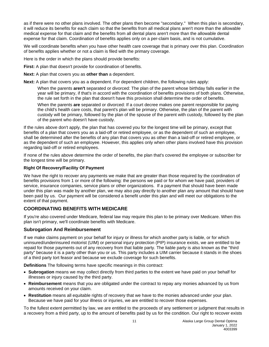as if there were no other plans involved. The other plans then become "secondary." When this plan is secondary, it will reduce its benefits for each claim so that the benefits from all medical plans aren't more than the allowable medical expense for that claim and the benefits from all dental plans aren't more than the allowable dental expense for that claim. Coordination of benefits applies only on a per-claim basis, and is not cumulative.

We will coordinate benefits when you have other health care coverage that is primary over this plan. Coordination of benefits applies whether or not a claim is filed with the primary coverage.

Here is the order in which the plans should provide benefits:

**First:** A plan that doesn't provide for coordination of benefits.

**Next:** A plan that covers you as **other than** a dependent.

**Next:** A plan that covers you as a dependent. For dependent children, the following rules apply:

When the parents **aren't** separated or divorced: The plan of the parent whose birthday falls earlier in the year will be primary, if that's in accord with the coordination of benefits provisions of both plans. Otherwise, the rule set forth in the plan that doesn't have this provision shall determine the order of benefits.

When the parents **are** separated or divorced: If a court decree makes one parent responsible for paying the child's health care costs, that parent's plan will be primary. Otherwise, the plan of the parent with custody will be primary, followed by the plan of the spouse of the parent with custody, followed by the plan of the parent who doesn't have custody.

If the rules above don't apply, the plan that has covered you for the longest time will be primary, except that benefits of a plan that covers you as a laid-off or retired employee, or as the dependent of such an employee, shall be determined after the benefits of any plan that covers you as other than a laid-off or retired employee, or as the dependent of such an employee. However, this applies only when other plans involved have this provision regarding laid-off or retired employees.

If none of the rules above determine the order of benefits, the plan that's covered the employee or subscriber for the longest time will be primary.

#### **Right Of Recovery/Facility Of Payment**

We have the right to recover any payments we make that are greater than those required by the coordination of benefits provisions from 1 or more of the following: the persons we paid or for whom we have paid, providers of service, insurance companies, service plans or other organizations. If a payment that should have been made under this plan was made by another plan, we may also pay directly to another plan any amount that should have been paid by us. Our payment will be considered a benefit under this plan and will meet our obligations to the extent of that payment.

# **COORDINATING BENEFITS WITH MEDICARE**

If you're also covered under Medicare, federal law may require this plan to be primary over Medicare. When this plan isn't primary, we'll coordinate benefits with Medicare.

# <span id="page-14-0"></span>**Subrogation And Reimbursement**

If we make claims payment on your behalf for injury or illness for which another party is liable, or for which uninsured/underinsured motorist (UIM) or personal injury protection (PIP) insurance exists, we are entitled to be repaid for those payments out of any recovery from that liable party. The liable party is also known as the "third party" because it is a party other than you or us. This party includes a UIM carrier because it stands in the shoes of a third party tort feasor and because we exclude coverage for such benefits.

**Definitions** The following terms have specific meanings in this contract:

- **Subrogation** means we may collect directly from third parties to the extent we have paid on your behalf for illnesses or injury caused by the third party.
- **Reimbursement** means that you are obligated under the contract to repay any monies advanced by us from amounts received on your claim.
- **Restitution** means all equitable rights of recovery that we have to the monies advanced under your plan. Because we have paid for your illness or injuries, we are entitled to recover those expenses.

To the fullest extent permitted by law, we are entitled to the proceeds of any settlement or judgment that results in a recovery from a third party, up to the amount of benefits paid by us for the condition. Our right to recover exists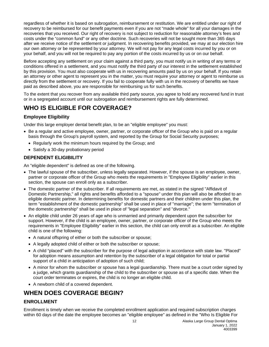regardless of whether it is based on subrogation, reimbursement or restitution. We are entitled under our right of recovery to be reimbursed for our benefit payments even if you are not "made whole" for all your damages in the recoveries that you received. Our right of recovery is not subject to reduction for reasonable attorney's fees and costs under the "common fund" or any other doctrine. Such recoveries will not be sought more than 365 days after we receive notice of the settlement or judgment. In recovering benefits provided, we may at our election hire our own attorney or be represented by your attorney. We will not pay for any legal costs incurred by you or on your behalf, and you will not be required to pay any portion of the costs incurred by us or on our behalf.

Before accepting any settlement on your claim against a third party, you must notify us in writing of any terms or conditions offered in a settlement, and you must notify the third party of our interest in the settlement established by this provision. You must also cooperate with us in recovering amounts paid by us on your behalf. If you retain an attorney or other agent to represent you in the matter, you must require your attorney or agent to reimburse us directly from the settlement or recovery. If you fail to cooperate fully with us in the recovery of benefits we have paid as described above, you are responsible for reimbursing us for such benefits.

To the extent that you recover from any available third party source, you agree to hold any recovered fund in trust or in a segregated account until our subrogation and reimbursement rights are fully determined.

# <span id="page-15-0"></span>**WHO IS ELIGIBLE FOR COVERAGE?**

# <span id="page-15-1"></span>**Employee Eligibility**

Under this large employer dental benefit plan, to be an "eligible employee" you must:

- Be a regular and active employee, owner, partner, or corporate officer of the Group who is paid on a regular basis through the Group's payroll system, and reported by the Group for Social Security purposes;
	- Regularly work the minimum hours required by the Group; and
	- Satisfy a 30-day probationary period

# <span id="page-15-2"></span>**DEPENDENT ELIGIBILITY**

An "eligible dependent" is defined as one of the following.

- The lawful spouse of the subscriber, unless legally separated. However, if the spouse is an employee, owner, partner or corporate officer of the Group who meets the requirements in "Employee Eligibility" earlier in this section, the spouse can enroll only as a subscriber.
- The domestic partner of the subscriber. If all requirements are met, as stated in the signed "Affidavit of Domestic Partnership," all rights and benefits afforded to a "spouse" under this plan will also be afforded to an eligible domestic partner. In determining benefits for domestic partners and their children under this plan, the term "establishment of the domestic partnership" shall be used in place of "marriage"; the term "termination of the domestic partnership" shall be used in place of "legal separation" and "divorce."
- An eligible child under 26 years of age who is unmarried and primarily dependent upon the subscriber for support. However, if the child is an employee, owner, partner, or corporate officer of the Group who meets the requirements in "Employee Eligibility" earlier in this section, the child can only enroll as a subscriber. An eligible child is one of the following:
	- A natural offspring of either or both the subscriber or spouse;
	- A legally adopted child of either or both the subscriber or spouse;
	- A child "placed" with the subscriber for the purpose of legal adoption in accordance with state law. "Placed" for adoption means assumption and retention by the subscriber of a legal obligation for total or partial support of a child in anticipation of adoption of such child;
	- A minor for whom the subscriber or spouse has a legal guardianship. There must be a court order signed by a judge, which grants guardianship of the child to the subscriber or spouse as of a specific date. When the court order terminates or expires, the child is no longer an eligible child.
	- A newborn child of a covered dependent.

# <span id="page-15-3"></span>**WHEN DOES COVERAGE BEGIN?**

# <span id="page-15-4"></span>**ENROLLMENT**

Enrollment is timely when we receive the completed enrollment application and required subscription charges within 60 days of the date the employee becomes an "eligible employee" as defined in the "Who Is Eligible For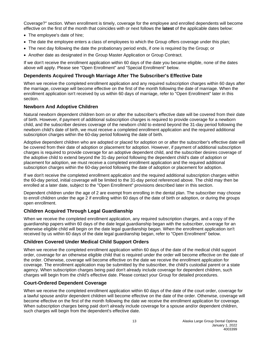Coverage?" section. When enrollment is timely, coverage for the employee and enrolled dependents will become effective on the first of the month that coincides with or next follows the **latest** of the applicable dates below:

- The employee's date of hire;
- The date the employee enters a class of employees to which the Group offers coverage under this plan;
- The next day following the date the probationary period ends, if one is required by the Group; or
- Another date as designated in the Group Master Application or Group Contract.

If we don't receive the enrollment application within 60 days of the date you became eligible, none of the dates above will apply. Please see "Open Enrollment" and "Special Enrollment" below.

# **Dependents Acquired Through Marriage After The Subscriber's Effective Date**

When we receive the completed enrollment application and any required subscription charges within 60 days after the marriage, coverage will become effective on the first of the month following the date of marriage. When the enrollment application isn't received by us within 60 days of marriage, refer to "Open Enrollment" later in this section.

# **Newborn And Adoptive Children**

Natural newborn dependent children born on or after the subscriber's effective date will be covered from their date of birth. However, if payment of additional subscription charges is required to provide coverage for a newborn child, and the subscriber desires coverage of the newborn child to extend beyond the 31-day period following the newborn child's date of birth, we must receive a completed enrollment application and the required additional subscription charges within the 60-day period following the date of birth.

Adoptive dependent children who are adopted or placed for adoption on or after the subscriber's effective date will be covered from their date of adoption or placement for adoption. However, if payment of additional subscription charges is required to provide coverage for an adoptive dependent child, and the subscriber desires coverage of the adoptive child to extend beyond the 31-day period following the dependent child's date of adoption or placement for adoption, we must receive a completed enrollment application and the required additional subscription charges within the 60-day period following the date of adoption or placement for adoption.

If we don't receive the completed enrollment application and the required additional subscription charges within the 60-day period, initial coverage will be limited to the 31-day period referenced above. The child may then be enrolled at a later date, subject to the "Open Enrollment" provisions described later in this section.

Dependent children under the age of 2 are exempt from enrolling in the dental plan. The subscriber may choose to enroll children under the age 2 if enrolling within 60 days of the date of birth or adoption, or during the groups open enrollment.

# **Children Acquired Through Legal Guardianship**

When we receive the completed enrollment application, any required subscription charges, and a copy of the guardianship papers within 60 days of the date legal guardianship began with the subscriber, coverage for an otherwise eligible child will begin on the date legal guardianship began. When the enrollment application isn't received by us within 60 days of the date legal guardianship began, refer to "Open Enrollment" below.

# **Children Covered Under Medical Child Support Orders**

When we receive the completed enrollment application within 60 days of the date of the medical child support order, coverage for an otherwise eligible child that is required under the order will become effective on the date of the order. Otherwise, coverage will become effective on the date we receive the enrollment application for coverage. The enrollment application may be submitted by the subscriber, the child's custodial parent or a state agency. When subscription charges being paid don't already include coverage for dependent children, such charges will begin from the child's effective date. Please contact your Group for detailed procedures.

# **Court-Ordered Dependent Coverage**

When we receive the completed enrollment application within 60 days of the date of the court order, coverage for a lawful spouse and/or dependent children will become effective on the date of the order. Otherwise, coverage will become effective on the first of the month following the date we receive the enrollment application for coverage. When subscription charges being paid don't already include coverage for a spouse and/or dependent children, such charges will begin from the dependent's effective date.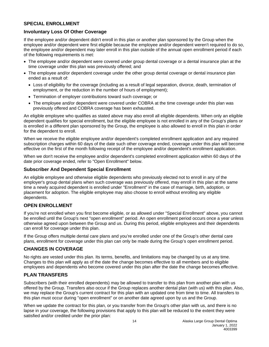# <span id="page-17-0"></span>**SPECIAL ENROLLMENT**

# **Involuntary Loss Of Other Coverage**

If the employee and/or dependent didn't enroll in this plan or another plan sponsored by the Group when the employee and/or dependent were first eligible because the employee and/or dependent weren't required to do so, the employee and/or dependent may later enroll in this plan outside of the annual open enrollment period if each of the following requirements is met:

- The employee and/or dependent were covered under group dental coverage or a dental insurance plan at the time coverage under this plan was previously offered; and
- The employee and/or dependent coverage under the other group dental coverage or dental insurance plan ended as a result of:
	- Loss of eligibility for the coverage (including as a result of legal separation, divorce, death, termination of employment, or the reduction in the number of hours of employment);
	- Termination of employer contributions toward such coverage; or
	- The employee and/or dependent were covered under COBRA at the time coverage under this plan was previously offered and COBRA coverage has been exhausted.

An eligible employee who qualifies as stated above may also enroll all eligible dependents. When only an eligible dependent qualifies for special enrollment, but the eligible employee is not enrolled in any of the Group's plans or is enrolled in a different plan sponsored by the Group, the employee is also allowed to enroll in this plan in order for the dependent to enroll.

When we receive the eligible employee and/or dependent's completed enrollment application and any required subscription charges within 60 days of the date such other coverage ended, coverage under this plan will become effective on the first of the month following receipt of the employee and/or dependent's enrollment application.

When we don't receive the employee and/or dependent's completed enrollment application within 60 days of the date prior coverage ended, refer to "Open Enrollment" below.

# **Subscriber And Dependent Special Enrollment**

An eligible employee and otherwise eligible dependents who previously elected not to enroll in any of the employer's group dental plans when such coverage was previously offered, may enroll in this plan at the same time a newly acquired dependent is enrolled under "Enrollment" in the case of marriage, birth, adoption, or placement for adoption. The eligible employee may also choose to enroll without enrolling any eligible dependents.

# <span id="page-17-1"></span>**OPEN ENROLLMENT**

If you're not enrolled when you first become eligible, or as allowed under "Special Enrollment" above, you cannot be enrolled until the Group's next "open enrollment" period. An open enrollment period occurs once a year unless otherwise agreed upon between the Group and us. During this period, eligible employees and their dependents can enroll for coverage under this plan.

If the Group offers multiple dental care plans and you're enrolled under one of the Group's other dental care plans, enrollment for coverage under this plan can only be made during the Group's open enrollment period.

# <span id="page-17-2"></span>**CHANGES IN COVERAGE**

No rights are vested under this plan. Its terms, benefits, and limitations may be changed by us at any time. Changes to this plan will apply as of the date the change becomes effective to all members and to eligible employees and dependents who become covered under this plan after the date the change becomes effective.

# <span id="page-17-3"></span>**PLAN TRANSFERS**

Subscribers (with their enrolled dependents) may be allowed to transfer to this plan from another plan with us offered by the Group. Transfers also occur if the Group replaces another dental plan (with us) with this plan. Also, we may replace the Group's current contract for this plan with an updated one from time to time. All transfers to this plan must occur during "open enrollment" or on another date agreed upon by us and the Group.

When we update the contract for this plan, or you transfer from the Group's other plan with us, and there is no lapse in your coverage, the following provisions that apply to this plan will be reduced to the extent they were satisfied and/or credited under the prior plan: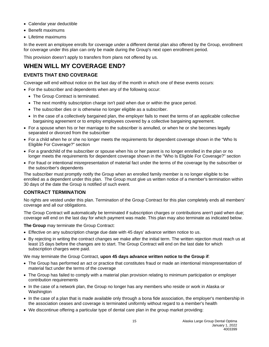- Calendar year deductible
- Benefit maximums
- Lifetime maximums

In the event an employee enrolls for coverage under a different dental plan also offered by the Group, enrollment for coverage under this plan can only be made during the Group's next open enrollment period.

This provision doesn't apply to transfers from plans not offered by us.

# <span id="page-18-0"></span>**WHEN WILL MY COVERAGE END?**

# <span id="page-18-1"></span>**EVENTS THAT END COVERAGE**

Coverage will end without notice on the last day of the month in which one of these events occurs:

- For the subscriber and dependents when any of the following occur:
	- The Group Contract is terminated.
	- The next monthly subscription charge isn't paid when due or within the grace period.
	- The subscriber dies or is otherwise no longer eligible as a subscriber.
	- In the case of a collectively bargained plan, the employer fails to meet the terms of an applicable collective bargaining agreement or to employ employees covered by a collective bargaining agreement.
- For a spouse when his or her marriage to the subscriber is annulled, or when he or she becomes legally separated or divorced from the subscriber
- For a child when he or she no longer meets the requirements for dependent coverage shown in the "Who Is Eligible For Coverage?" section
- For a grandchild of the subscriber or spouse when his or her parent is no longer enrolled in the plan or no longer meets the requirements for dependent coverage shown in the "Who Is Eligible For Coverage?" section
- For fraud or intentional misrepresentation of material fact under the terms of the coverage by the subscriber or the subscriber's dependents

The subscriber must promptly notify the Group when an enrolled family member is no longer eligible to be enrolled as a dependent under this plan. The Group must give us written notice of a member's termination within 30 days of the date the Group is notified of such event.

# <span id="page-18-2"></span>**CONTRACT TERMINATION**

No rights are vested under this plan. Termination of the Group Contract for this plan completely ends all members' coverage and all our obligations.

The Group Contract will automatically be terminated if subscription charges or contributions aren't paid when due; coverage will end on the last day for which payment was made. This plan may also terminate as indicated below.

**The Group** may terminate the Group Contract:

- Effective on any subscription charge due date with 45 days' advance written notice to us.
- By rejecting in writing the contract changes we make after the initial term. The written rejection must reach us at least 15 days before the changes are to start. The Group Contract will end on the last date for which subscription charges were paid.

We may terminate the Group Contract, **upon 45 days advance written notice to the Group if**:

- The Group has performed an act or practice that constitutes fraud or made an intentional misrepresentation of material fact under the terms of the coverage
- The Group has failed to comply with a material plan provision relating to minimum participation or employer contribution requirements
- In the case of a network plan, the Group no longer has any members who reside or work in Alaska or Washington
- In the case of a plan that is made available only through a bona fide association, the employer's membership in the association ceases and coverage is terminated uniformly without regard to a member's health
- We discontinue offering a particular type of dental care plan in the group market providing: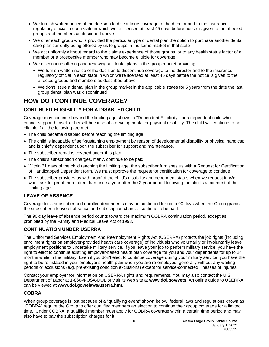- We furnish written notice of the decision to discontinue coverage to the director and to the insurance regulatory official in each state in which we're licensed at least 45 days before notice is given to the affected groups and members as described above
- We offer each group who is provided the particular type of dental plan the option to purchase another dental care plan currently being offered by us to groups in the same market in that state
- We act uniformly without regard to the claims experience of those groups, or to any health status factor of a member or a prospective member who may become eligible for coverage
- We discontinue offering and renewing all dental plans in the group market providing:
	- We furnish written notice of the decision to discontinue coverage to the director and to the insurance regulatory official in each state in which we're licensed at least 45 days before the notice is given to the affected groups and members as described above
	- We don't issue a dental plan in the group market in the applicable states for 5 years from the date the last group dental plan was discontinued

# <span id="page-19-0"></span>**HOW DO I CONTINUE COVERAGE?**

# <span id="page-19-1"></span>**CONTINUED ELIGIBILITY FOR A DISABLED CHILD**

Coverage may continue beyond the limiting age shown in "Dependent Eligibility" for a dependent child who cannot support himself or herself because of a developmental or physical disability. The child will continue to be eligible if all the following are met:

- The child became disabled before reaching the limiting age.
- The child is incapable of self-sustaining employment by reason of developmental disability or physical handicap and is chiefly dependent upon the subscriber for support and maintenance.
- The subscriber remains covered under this plan.
- The child's subscription charges, if any, continue to be paid.
- Within 31 days of the child reaching the limiting age, the subscriber furnishes us with a Request for Certification of Handicapped Dependent form. We must approve the request for certification for coverage to continue.
- The subscriber provides us with proof of the child's disability and dependent status when we request it. We won't ask for proof more often than once a year after the 2-year period following the child's attainment of the limiting age.

# <span id="page-19-2"></span>**LEAVE OF ABSENCE**

Coverage for a subscriber and enrolled dependents may be continued for up to 90 days when the Group grants the subscriber a leave of absence and subscription charges continue to be paid.

The 90-day leave of absence period counts toward the maximum COBRA continuation period, except as prohibited by the Family and Medical Leave Act of 1993.

# <span id="page-19-3"></span>**CONTINUATION UNDER USERRA**

The Uniformed Services Employment And Reemployment Rights Act (USERRA) protects the job rights (including enrollment rights on employer-provided health care coverage) of individuals who voluntarily or involuntarily leave employment positions to undertake military service. If you leave your job to perform military service, you have the right to elect to continue existing employer-based health plan coverage for you and your dependents for up to 24 months while in the military. Even if you don't elect to continue coverage during your military service, you have the right to be reinstated in your employer's health plan when you are re-employed, generally without any waiting periods or exclusions (e.g. pre-existing condition exclusions) except for service-connected illnesses or injuries.

Contact your employer for information on USERRA rights and requirements. You may also contact the U.S. Department of Labor at 1-866-4-USA-DOL or visit its web site at **www.dol.gov/vets**. An online guide to USERRA can be viewed at **www.dol.gov/elaws/userra.htm**.

# <span id="page-19-4"></span>**COBRA**

When group coverage is lost because of a "qualifying event" shown below, federal laws and regulations known as "COBRA" require the Group to offer qualified members an election to continue their group coverage for a limited time. Under COBRA, a qualified member must apply for COBRA coverage within a certain time period and may also have to pay the subscription charges for it.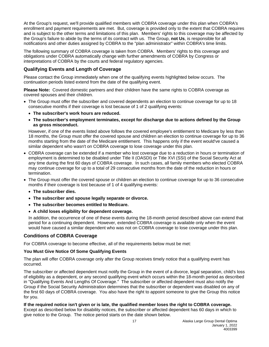At the Group's request, we'll provide qualified members with COBRA coverage under this plan when COBRA's enrollment and payment requirements are met. But, coverage is provided only to the extent that COBRA requires and is subject to the other terms and limitations of this plan. Members' rights to this coverage may be affected by the Group's failure to abide by the terms of its contract with us. The Group, **not Us**, is responsible for all notifications and other duties assigned by COBRA to the "plan administrator" within COBRA's time limits.

The following summary of COBRA coverage is taken from COBRA. Members' rights to this coverage and obligations under COBRA automatically change with further amendments of COBRA by Congress or interpretations of COBRA by the courts and federal regulatory agencies.

# **Qualifying Events and Length of Coverage**

Please contact the Group immediately when one of the qualifying events highlighted below occurs. The continuation periods listed extend from the date of the qualifying event.

**Please Note:** Covered domestic partners and their children have the same rights to COBRA coverage as covered spouses and their children.

- The Group must offer the subscriber and covered dependents an election to continue coverage for up to 18 consecutive months if their coverage is lost because of 1 of 2 qualifying events:
	- **The subscriber's work hours are reduced.**
	- **The subscriber's employment terminates, except for discharge due to actions defined by the Group as gross misconduct.**

However, if one of the events listed above follows the covered employee's entitlement to Medicare by less than 18 months, the Group must offer the covered spouse and children an election to continue coverage for up to 36 months starting from the date of the Medicare entitlement. This happens only if the event would've caused a similar dependent who wasn't on COBRA coverage to lose coverage under this plan.

- COBRA coverage can be extended if a member who lost coverage due to a reduction in hours or termination of employment is determined to be disabled under Title II (OASDI) or Title XVI (SSI) of the Social Security Act at any time during the first 60 days of COBRA coverage. In such cases, all family members who elected COBRA may continue coverage for up to a total of 29 consecutive months from the date of the reduction in hours or termination.
- The Group must offer the covered spouse or children an election to continue coverage for up to 36 consecutive months if their coverage is lost because of 1 of 4 qualifying events:
	- **The subscriber dies.**
	- **The subscriber and spouse legally separate or divorce.**
	- **The subscriber becomes entitled to Medicare.**
	- **A child loses eligibility for dependent coverage.**

In addition, the occurrence of one of these events during the 18-month period described above can extend that period for a continuing dependent. However, extended COBRA coverage is available only when the event would have caused a similar dependent who was not on COBRA coverage to lose coverage under this plan.

# **Conditions of COBRA Coverage**

For COBRA coverage to become effective, all of the requirements below must be met:

# **You Must Give Notice Of Some Qualifying Events**

The plan will offer COBRA coverage only after the Group receives timely notice that a qualifying event has occurred.

The subscriber or affected dependent must notify the Group in the event of a divorce, legal separation, child's loss of eligibility as a dependent, or any second qualifying event which occurs within the 18-month period as described in "Qualifying Events And Lengths Of Coverage." The subscriber or affected dependent must also notify the Group if the Social Security Administration determines that the subscriber or dependent was disabled on any of the first 60 days of COBRA coverage. You also have the right to appoint someone to give the Group this notice for you.

**If the required notice isn't given or is late, the qualified member loses the right to COBRA coverage.** Except as described below for disability notices, the subscriber or affected dependent has 60 days in which to give notice to the Group. The notice period starts on the date shown below.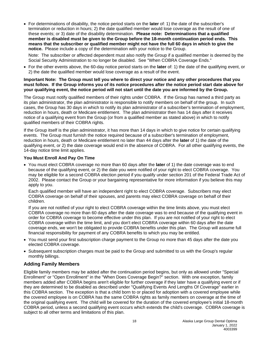• For determinations of disability, the notice period starts on the **later** of: 1) the date of the subscriber's termination or reduction in hours; 2) the date qualified member would lose coverage as the result of one of these events; or 3) date of the disability determination. **Please note: Determinations that a qualified member is disabled must be given to the Group before the 18-month continuation period ends. This means that the subscriber or qualified member might not have the full 60 days in which to give the notice.** Please include a copy of the determination with your notice to the Group.

Note: The subscriber or affected dependent must also notify the Group if a qualified member is deemed by the Social Security Administration to no longer be disabled. See "When COBRA Coverage Ends."

• For the other events above, the 60-day notice period starts on the **later** of: 1) the date of the qualifying event, or 2) the date the qualified member would lose coverage as a result of the event.

#### **Important Note: The Group must tell you where to direct your notice and any other procedures that you must follow. If the Group informs you of its notice procedures after the notice period start date above for your qualifying event, the notice period will not start until the date you are informed by the Group.**

The Group must notify qualified members of their rights under COBRA. If the Group has named a third party as its plan administrator, the plan administrator is responsible to notify members on behalf of the group. In such cases, the Group has 30 days in which to notify its plan administrator of a subscriber's termination of employment, reduction in hours, death or Medicare entitlement. The plan administrator then has 14 days after it receives notice of a qualifying event from the Group (or from a qualified member as stated above) in which to notify qualified members of their COBRA rights.

If the Group itself is the plan administrator, it has more than 14 days in which to give notice for certain qualifying events. The Group must furnish the notice required because of a subscriber's termination of employment, reduction in hours, death or Medicare entitlement no later than 44 days after the **later** of 1) the date of the qualifying event, or 2) the date coverage would end in the absence of COBRA. For all other qualifying events, the 14-day notice time limit applies.

# **You Must Enroll And Pay On Time**

• You must elect COBRA coverage no more than 60 days after the **later** of 1) the date coverage was to end because of the qualifying event, or 2) the date you were notified of your right to elect COBRA coverage. You may be eligible for a second COBRA election period if you qualify under section 201 of the Federal Trade Act of 2002. Please contact the Group or your bargaining representative for more information if you believe this may apply to you.

Each qualified member will have an independent right to elect COBRA coverage. Subscribers may elect COBRA coverage on behalf of their spouses, and parents may elect COBRA coverage on behalf of their children.

If you are not notified of your right to elect COBRA coverage within the time limits above, you must elect COBRA coverage no more than 60 days after the date coverage was to end because of the qualifying event in order for COBRA coverage to become effective under this plan. If you are not notified of your right to elect COBRA coverage within the time limit, and you don't elect COBRA coverage within 60 days after the date coverage ends, we won't be obligated to provide COBRA benefits under this plan. The Group will assume full financial responsibility for payment of any COBRA benefits to which you may be entitled.

- You must send your first subscription charge payment to the Group no more than 45 days after the date you elected COBRA coverage.
- Subsequent subscription charges must be paid to the Group and submitted to us with the Group's regular monthly billings.

# **Adding Family Members**

Eligible family members may be added after the continuation period begins, but only as allowed under "Special Enrollment" or "Open Enrollment" in the "When Does Coverage Begin?" section. With one exception, family members added after COBRA begins aren't eligible for further coverage if they later have a qualifying event or if they are determined to be disabled as described under "Qualifying Events And Lengths Of Coverage" earlier in this COBRA section. The exception is that a child born to or placed for adoption with a covered employee while the covered employee is on COBRA has the same COBRA rights as family members on coverage at the time of the original qualifying event. The child will be covered for the duration of the covered employee's initial 18-month COBRA period, unless a second qualifying event occurs which extends the child's coverage. COBRA coverage is subject to all other terms and limitations of this plan.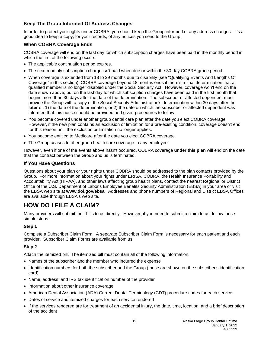# **Keep The Group Informed Of Address Changes**

In order to protect your rights under COBRA, you should keep the Group informed of any address changes. It's a good idea to keep a copy, for your records, of any notices you send to the Group.

# **When COBRA Coverage Ends**

COBRA coverage will end on the last day for which subscription charges have been paid in the monthly period in which the first of the following occurs:

- The applicable continuation period expires.
- The next monthly subscription charge isn't paid when due or within the 30-day COBRA grace period.
- When coverage is extended from 18 to 29 months due to disability (see "Qualifying Events And Lengths Of Coverage" in this section), COBRA coverage beyond 18 months ends if there's a final determination that a qualified member is no longer disabled under the Social Security Act. However, coverage won't end on the date shown above, but on the last day for which subscription charges have been paid in the first month that begins more than 30 days after the date of the determination. The subscriber or affected dependent must provide the Group with a copy of the Social Security Administration's determination within 30 days after the **later** of: 1) the date of the determination, or 2) the date on which the subscriber or affected dependent was informed that this notice should be provided and given procedures to follow.
- You become covered under another group dental care plan after the date you elect COBRA coverage. However, if the new plan contains an exclusion or limitation for a pre-existing condition, coverage doesn't end for this reason until the exclusion or limitation no longer applies.
- You become entitled to Medicare after the date you elect COBRA coverage.
- The Group ceases to offer group health care coverage to any employee.

However, even if one of the events above hasn't occurred, COBRA coverage **under this plan** will end on the date that the contract between the Group and us is terminated.

# **If You Have Questions**

Questions about your plan or your rights under COBRA should be addressed to the plan contacts provided by the Group. For more information about your rights under ERISA, COBRA, the Health Insurance Portability and Accountability Act (HIPAA), and other laws affecting group health plans, contact the nearest Regional or District Office of the U.S. Department of Labor's Employee Benefits Security Administration (EBSA) in your area or visit the EBSA web site at **www.dol.gov/ebsa**. Addresses and phone numbers of Regional and District EBSA Offices are available through EBSA's web site.

# <span id="page-22-0"></span>**HOW DO I FILE A CLAIM?**

Many providers will submit their bills to us directly. However, if you need to submit a claim to us, follow these simple steps:

# **Step 1**

Complete a Subscriber Claim Form. A separate Subscriber Claim Form is necessary for each patient and each provider. Subscriber Claim Forms are available from us.

# **Step 2**

Attach the itemized bill. The itemized bill must contain all of the following information.

- Names of the subscriber and the member who incurred the expense
- Identification numbers for both the subscriber and the Group (these are shown on the subscriber's identification card)
- Name, address, and IRS tax identification number of the provider
- Information about other insurance coverage
- American Dental Association (ADA) Current Dental Terminology (CDT) procedure codes for each service
- Dates of service and itemized charges for each service rendered
- If the services rendered are for treatment of an accidental injury, the date, time, location, and a brief description of the accident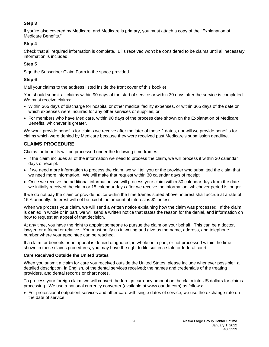# **Step 3**

If you're also covered by Medicare, and Medicare is primary, you must attach a copy of the "Explanation of Medicare Benefits."

# **Step 4**

Check that all required information is complete. Bills received won't be considered to be claims until all necessary information is included.

# **Step 5**

Sign the Subscriber Claim Form in the space provided.

# **Step 6**

Mail your claims to the address listed inside the front cover of this booklet

You should submit all claims within 90 days of the start of service or within 30 days after the service is completed. We must receive claims:

- Within 365 days of discharge for hospital or other medical facility expenses, or within 365 days of the date on which expenses were incurred for any other services or supplies; or
- For members who have Medicare, within 90 days of the process date shown on the Explanation of Medicare Benefits, whichever is greater.

We won't provide benefits for claims we receive after the later of these 2 dates, nor will we provide benefits for claims which were denied by Medicare because they were received past Medicare's submission deadline.

# **CLAIMS PROCEDURE**

Claims for benefits will be processed under the following time frames:

- If the claim includes all of the information we need to process the claim, we will process it within 30 calendar days of receipt.
- If we need more information to process the claim, we will tell you or the provider who submitted the claim that we need more information. We will make that request within 30 calendar days of receipt.
- Once we receive the additional information, we will process your claim within 30 calendar days from the date we initially received the claim or 15 calendar days after we receive the information, whichever period is longer.

If we do not pay the claim or provide notice within the time frames stated above, interest shall accrue at a rate of 15% annually. Interest will not be paid if the amount of interest is \$1 or less.

When we process your claim, we will send a written notice explaining how the claim was processed. If the claim is denied in whole or in part, we will send a written notice that states the reason for the denial, and information on how to request an appeal of that decision.

At any time, you have the right to appoint someone to pursue the claim on your behalf. This can be a doctor, lawyer, or a friend or relative. You must notify us in writing and give us the name, address, and telephone number where your appointee can be reached.

If a claim for benefits or an appeal is denied or ignored, in whole or in part, or not processed within the time shown in these claims procedures, you may have the right to file suit in a state or federal court.

# **Care Received Outside the United States**

When you submit a claim for care you received outside the United States, please include whenever possible: a detailed description, in English, of the dental services received; the names and credentials of the treating providers, and dental records or chart notes.

To process your foreign claim, we will convert the foreign currency amount on the claim into US dollars for claims processing. We use a national currency converter (available at www.oanda.com) as follows:

• For professional outpatient services and other care with single dates of service, we use the exchange rate on the date of service.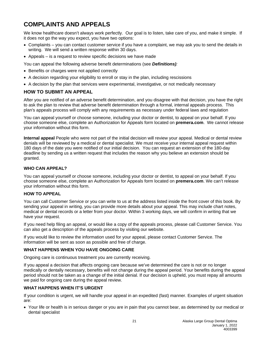# <span id="page-24-0"></span>**COMPLAINTS AND APPEALS**

We know healthcare doesn't always work perfectly. Our goal is to listen, take care of you, and make it simple. If it does not go the way you expect, you have two options:

- Complaints you can contact customer service if you have a complaint, we may ask you to send the details in writing. We will send a written response within 30 days.
- Appeals is a request to review specific decisions we have made
- You can appeal the following adverse benefit determinations (see *Definitions):*
- Benefits or charges were not applied correctly
- A decision regarding your eligibility to enroll or stay in the plan, including rescissions
- A decision by the plan that services were experimental, investigative, or not medically necessary

# **HOW TO SUBMIT AN APPEAL**

After you are notified of an adverse benefit determination, and you disagree with that decision, you have the right to ask the plan to review that adverse benefit determination through a formal, internal appeals process. This plan's appeals process will comply with any requirements as necessary under federal laws and regulation

You can appeal yourself or choose someone, including your doctor or dentist, to appeal on your behalf. If you choose someone else, complete an Authorization for Appeals form located on **premera.com**. We cannot release your information without this form.

**Internal appeal** People who were not part of the initial decision will review your appeal. Medical or dental review denials will be reviewed by a medical or dental specialist. We must receive your internal appeal request within 180 days of the date you were notified of our initial decision. You can request an extension of the 180-day deadline by sending us a written request that includes the reason why you believe an extension should be granted.

# **WHO CAN APPEAL?**

You can appeal yourself or choose someone, including your doctor or dentist, to appeal on your behalf. If you choose someone else, complete an Authorization for Appeals form located on **premera.com**. We can't release your information without this form.

#### **HOW TO APPEAL**

You can call Customer Service or you can write to us at the address listed inside the front cover of this book. By sending your appeal in writing, you can provide more details about your appeal. This may include chart notes, medical or dental records or a letter from your doctor. Within 3 working days, we will confirm in writing that we have your request.

If you need help filing an appeal, or would like a copy of the appeals process, please call Customer Service. You can also get a description of the appeals process by visiting our website.

If you would like to review the information used for your appeal, please contact Customer Service. The information will be sent as soon as possible and free of charge.

# **WHAT HAPPENS WHEN YOU HAVE ONGOING CARE**

Ongoing care is continuous treatment you are currently receiving.

If you appeal a decision that affects ongoing care because we've determined the care is not or no longer medically or dentally necessary, benefits will not change during the appeal period. Your benefits during the appeal period should not be taken as a change of the initial denial. If our decision is upheld, you must repay all amounts we paid for ongoing care during the appeal review.

# **WHAT HAPPENS WHEN IT'S URGENT**

If your condition is urgent, we will handle your appeal in an expedited (fast) manner. Examples of urgent situation are:

• Your life or health is in serious danger or you are in pain that you cannot bear, as determined by our medical or dental specialist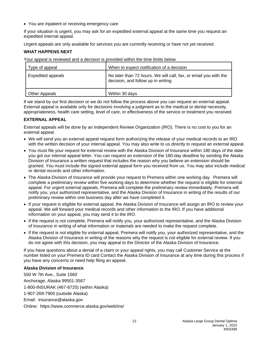• You are inpatient or receiving emergency care

If your situation is urgent, you may ask for an expedited external appeal at the same time you request an expedited internal appeal.

Urgent appeals are only available for services you are currently receiving or have not yet received.

# **WHAT HAPPENS NEXT**

Your appeal is reviewed and a decision is provided within the time limits below

| Type of appeal           | When to expect notification of a decision                                                               |
|--------------------------|---------------------------------------------------------------------------------------------------------|
| <b>Expedited appeals</b> | No later than 72 hours. We will call, fax, or email you with the<br>decision, and follow up in writing. |
| <b>Other Appeals</b>     | Within 30 days                                                                                          |

If we stand by our first decision or we do not follow the process above you can request an external appeal. External appeal is available only for decisions involving a judgment as to the medical or dental necessity, appropriateness, health care setting, level of care, or effectiveness of the service or treatment you received.

# **EXTERNAL APPEAL**

External appeals will be done by an Independent Review Organization (IRO). There is no cost to you for an external appeal.

- We will send you an external appeal request form authorizing the release of your medical records to an IRO with the written decision of your internal appeal. You may also write to us directly to request an external appeal.
- You must file your request for external review with the Alaska Division of Insurance within 180 days of the date you got our internal appeal letter. You can request an extension of the 180-day deadline by sending the Alaska Division of Insurance a written request that includes the reason why you believe an extension should be granted. You must include the signed external appeal form you received from us. You may also include medical or dental records and other information.
- The Alaska Division of Insurance will provide your request to Premera within one working day. Premera will complete a preliminary review within five working days to determine whether the request is eligible for external appeal. For urgent external appeals, Premera will complete the preliminary review immediately. Premera will notify you, your authorized representative, and the Alaska Division of Insurance in writing of the results of our preliminary review within one business day after we have completed it.
- If your request is eligible for external appeal, the Alaska Division of Insurance will assign an IRO to review your appeal. We will forward your medical records and other information to the IRO. If you have additional information on your appeal, you may send it to the IRO.
- If the request is not complete, Premera will notify you, your authorized representative, and the Alaska Division of Insurance in writing of what information or materials are needed to make the request complete.
- If the request is not eligible for external appeal, Premera will notify you, your authorized representative, and the Alaska Division of Insurance in writing of the reasons why the request is not eligible for external review. If you do not agree with this decision, you may appeal to the Director of the Alaska Division of Insurance.

If you have questions about a denial of a claim or your appeal rights, you may call Customer Service at the number listed on your Premera ID card Contact the Alaska Division of Insurance at any time during this process if you have any concerns or need help filing an appeal.

# **Alaska Division of Insurance**

550 W 7th Ave., Suite 1560 Anchorage, Alaska 99501-3567 1-800-INSURAK (467-8725) (within Alaska) 1-907-269-7900 (outside Alaska) Email: insurance@alaska.gov Online: https://www.commerce.alaska.gov/web/ins/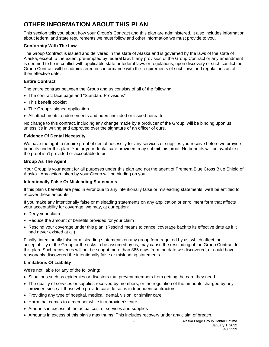# <span id="page-26-0"></span>**OTHER INFORMATION ABOUT THIS PLAN**

This section tells you about how your Group's Contract and this plan are administered. It also includes information about federal and state requirements we must follow and other information we must provide to you.

# **Conformity With The Law**

The Group Contract is issued and delivered in the state of Alaska and is governed by the laws of the state of Alaska, except to the extent pre-empted by federal law. If any provision of the Group Contract or any amendment is deemed to be in conflict with applicable state or federal laws or regulations, upon discovery of such conflict the Group Contract will be administered in conformance with the requirements of such laws and regulations as of their effective date.

#### **Entire Contract**

The entire contract between the Group and us consists of all of the following:

- The contract face page and "Standard Provisions"
- This benefit booklet
- The Group's signed application
- All attachments, endorsements and riders included or issued hereafter

No change to this contract, including any change made by a producer of the Group, will be binding upon us unless it's in writing and approved over the signature of an officer of ours.

#### **Evidence Of Dental Necessity**

We have the right to require proof of dental necessity for any services or supplies you receive before we provide benefits under this plan. You or your dental care providers may submit this proof. No benefits will be available if the proof isn't provided or acceptable to us.

#### **Group As The Agent**

Your Group is your agent for all purposes under this plan and not the agent of Premera Blue Cross Blue Shield of Alaska. Any action taken by your Group will be binding on you.

#### **Intentionally False Or Misleading Statements**

If this plan's benefits are paid in error due to any intentionally false or misleading statements, we'll be entitled to recover these amounts.

If you make any intentionally false or misleading statements on any application or enrollment form that affects your acceptability for coverage, we may, at our option:

- Deny your claim
- Reduce the amount of benefits provided for your claim
- Rescind your coverage under this plan. (Rescind means to cancel coverage back to its effective date as if it had never existed at all).

Finally, intentionally false or misleading statements on any group form required by us, which affect the acceptability of the Group or the risks to be assumed by us, may cause the rescinding of the Group Contract for this plan. Such recoveries will not be sought more than 365 days from the date we discovered, or could have reasonably discovered the intentionally false or misleading statements.

# **Limitations Of Liability**

We're not liable for any of the following:

- Situations such as epidemics or disasters that prevent members from getting the care they need
- The quality of services or supplies received by members, or the regulation of the amounts charged by any provider, since all those who provide care do so as independent contractors
- Providing any type of hospital, medical, dental, vision, or similar care
- Harm that comes to a member while in a provider's care
- Amounts in excess of the actual cost of services and supplies
- Amounts in excess of this plan's maximums. This includes recovery under any claim of breach.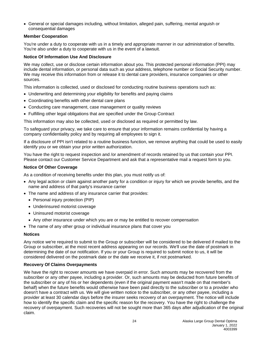• General or special damages including, without limitation, alleged pain, suffering, mental anguish or consequential damages

#### **Member Cooperation**

You're under a duty to cooperate with us in a timely and appropriate manner in our administration of benefits. You're also under a duty to cooperate with us in the event of a lawsuit.

#### **Notice Of Information Use And Disclosure**

We may collect, use or disclose certain information about you. This protected personal information (PPI) may include dental information, or personal data such as your address, telephone number or Social Security number. We may receive this information from or release it to dental care providers, insurance companies or other sources.

This information is collected, used or disclosed for conducting routine business operations such as:

- Underwriting and determining your eligibility for benefits and paying claims
- Coordinating benefits with other dental care plans
- Conducting care management, case management or quality reviews
- Fulfilling other legal obligations that are specified under the Group Contract

This information may also be collected, used or disclosed as required or permitted by law.

To safeguard your privacy, we take care to ensure that your information remains confidential by having a company confidentiality policy and by requiring all employees to sign it.

If a disclosure of PPI isn't related to a routine business function, we remove anything that could be used to easily identify you or we obtain your prior written authorization.

You have the right to request inspection and /or amendment of records retained by us that contain your PPI. Please contact our Customer Service Department and ask that a representative mail a request form to you.

# **Notice Of Other Coverage**

As a condition of receiving benefits under this plan, you must notify us of:

- Any legal action or claim against another party for a condition or injury for which we provide benefits, and the name and address of that party's insurance carrier
- The name and address of any insurance carrier that provides:
	- Personal injury protection (PIP)
	- Underinsured motorist coverage
	- Uninsured motorist coverage
	- Any other insurance under which you are or may be entitled to recover compensation
- The name of any other group or individual insurance plans that cover you

#### **Notices**

Any notice we're required to submit to the Group or subscriber will be considered to be delivered if mailed to the Group or subscriber, at the most recent address appearing on our records. We'll use the date of postmark in determining the date of our notification. If you or your Group is required to submit notice to us, it will be considered delivered on the postmark date or the date we receive it, if not postmarked.

#### **Recovery Of Claims Overpayments**

We have the right to recover amounts we have overpaid in error. Such amounts may be recovered from the subscriber or any other payee, including a provider. Or, such amounts may be deducted from future benefits of the subscriber or any of his or her dependents (even if the original payment wasn't made on that member's behalf) when the future benefits would otherwise have been paid directly to the subscriber or to a provider who doesn't have a contract with us. We will give written notice to the subscriber, or any other payee, including a provider at least 30 calendar days before the insurer seeks recovery of an overpayment. The notice will include how to identify the specific claim and the specific reason for the recovery. You have the right to challenge the recovery of overpayment. Such recoveries will not be sought more than 365 days after adjudication of the original claim.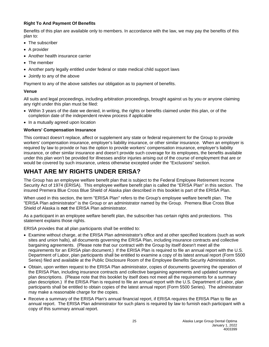# **Right To And Payment Of Benefits**

Benefits of this plan are available only to members. In accordance with the law, we may pay the benefits of this plan to:

- The subscriber
- A provider
- Another health insurance carrier
- The member
- Another party legally entitled under federal or state medical child support laws
- Jointly to any of the above

Payment to any of the above satisfies our obligation as to payment of benefits.

# **Venue**

All suits and legal proceedings, including arbitration proceedings, brought against us by you or anyone claiming any right under this plan must be filed:

- Within 3 years of the date we denied, in writing, the rights or benefits claimed under this plan, or of the completion date of the independent review process if applicable
- In a mutually agreed upon location

# **Workers' Compensation Insurance**

This contract doesn't replace, affect or supplement any state or federal requirement for the Group to provide workers' compensation insurance, employer's liability insurance, or other similar insurance. When an employer is required by law to provide or has the option to provide workers' compensation insurance, employer's liability insurance, or other similar insurance and doesn't provide such coverage for its employees, the benefits available under this plan won't be provided for illnesses and/or injuries arising out of the course of employment that are or would be covered by such insurance, unless otherwise excepted under the "Exclusions" section.

# <span id="page-28-0"></span>**WHAT ARE MY RIGHTS UNDER ERISA?**

The Group has an employee welfare benefit plan that is subject to the Federal Employee Retirement Income Security Act of 1974 (ERISA). This employee welfare benefit plan is called the "ERISA Plan" in this section. The insured Premera Blue Cross Blue Shield of Alaska plan described in this booklet is part of the ERISA Plan.

When used in this section, the term "ERISA Plan" refers to the Group's employee welfare benefit plan. The "ERISA Plan administrator" is the Group or an administrator named by the Group. Premera Blue Cross Blue Shield of Alaska is **not** the ERISA Plan administrator.

As a participant in an employee welfare benefit plan, the subscriber has certain rights and protections. This statement explains those rights.

ERISA provides that all plan participants shall be entitled to:

- Examine without charge, at the ERISA Plan administrator's office and at other specified locations (such as work sites and union halls), all documents governing the ERISA Plan, including insurance contracts and collective bargaining agreements. (Please note that our contract with the Group by itself doesn't meet all the requirements for an ERISA plan document.) If the ERISA Plan is required to file an annual report with the U.S. Department of Labor, plan participants shall be entitled to examine a copy of its latest annual report (Form 5500 Series) filed and available at the Public Disclosure Room of the Employee Benefits Security Administration.
- Obtain, upon written request to the ERISA Plan administrator, copies of documents governing the operation of the ERISA Plan, including insurance contracts and collective bargaining agreements and updated summary plan descriptions. (Please note that this booklet by itself does not meet all the requirements for a summary plan description.) If the ERISA Plan is required to file an annual report with the U.S. Department of Labor, plan participants shall be entitled to obtain copies of the latest annual report (Form 5500 Series). The administrator may make a reasonable charge for the copies.
- Receive a summary of the ERISA Plan's annual financial report, if ERISA requires the ERISA Plan to file an annual report. The ERISA Plan administrator for such plans is required by law to furnish each participant with a copy of this summary annual report.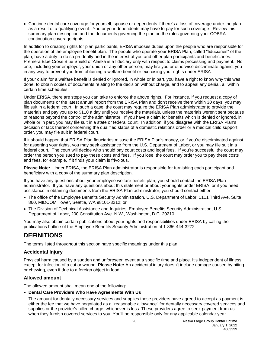<span id="page-29-0"></span>• Continue dental care coverage for yourself, spouse or dependents if there's a loss of coverage under the plan as a result of a qualifying event. You or your dependents may have to pay for such coverage. Review this summary plan description and the documents governing the plan on the rules governing your COBRA continuation coverage rights.

In addition to creating rights for plan participants, ERISA imposes duties upon the people who are responsible for the operation of the employee benefit plan. The people who operate your ERISA Plan, called "fiduciaries" of the plan, have a duty to do so prudently and in the interest of you and other plan participants and beneficiaries. Premera Blue Cross Blue Shield of Alaska is a fiduciary only with respect to claims processing and payment. No one, including your employer, your union or any other person, may fire you or otherwise discriminate against you in any way to prevent you from obtaining a welfare benefit or exercising your rights under ERISA.

If your claim for a welfare benefit is denied or ignored, in whole or in part, you have a right to know why this was done, to obtain copies of documents relating to the decision without charge, and to appeal any denial, all within certain time schedules.

Under ERISA, there are steps you can take to enforce the above rights. For instance, if you request a copy of plan documents or the latest annual report from the ERISA Plan and don't receive them within 30 days, you may file suit in a federal court. In such a case, the court may require the ERISA Plan administrator to provide the materials and pay you up to \$110 a day until you receive the materials, unless the materials weren't sent because of reasons beyond the control of the administrator. If you have a claim for benefits which is denied or ignored, in whole or in part, you may file suit in a state or federal court. In addition, if you disagree with the ERISA Plan's decision or lack thereof concerning the qualified status of a domestic relations order or a medical child support order, you may file suit in federal court.

If it should happen that ERISA Plan fiduciaries misuse the ERISA Plan's money, or if you're discriminated against for asserting your rights, you may seek assistance from the U.S. Department of Labor, or you may file suit in a federal court. The court will decide who should pay court costs and legal fees. If you're successful the court may order the person you sued to pay these costs and fees. If you lose, the court may order you to pay these costs and fees, for example, if it finds your claim is frivolous.

**Please Note:** Under ERISA, the ERISA Plan administrator is responsible for furnishing each participant and beneficiary with a copy of the summary plan description.

If you have any questions about your employee welfare benefit plan, you should contact the ERISA Plan administrator. If you have any questions about this statement or about your rights under ERISA, or if you need assistance in obtaining documents from the ERISA Plan administrator, you should contact either:

- The office of the Employee Benefits Security Administration, U.S. Department of Labor, 1111 Third Ave. Suite 860, MIDCOM Tower, Seattle, WA 98101-3212; or
- The Division of Technical Assistance and Inquiries, Employee Benefits Security Administration, U.S. Department of Labor, 200 Constitution Ave. N.W., Washington, D.C. 20210.

You may also obtain certain publications about your rights and responsibilities under ERISA by calling the publications hotline of the Employee Benefits Security Administration at 1-866-444-3272.

# **DEFINITIONS**

The terms listed throughout this section have specific meanings under this plan.

# **Accidental Injury**

Physical harm caused by a sudden and unforeseen event at a specific time and place. It's independent of illness, except for infection of a cut or wound. **Please Note:** An accidental injury doesn't include damage caused by biting or chewing, even if due to a foreign object in food.

# **Allowed amount**

The allowed amount shall mean one of the following:

# • **Dental Care Providers Who Have Agreements With Us**

The amount for dentally necessary services and supplies these providers have agreed to accept as payment is either the fee that we have negotiated as a "reasonable allowance" for dentally necessary covered services and supplies or the provider's billed charge, whichever is less. These providers agree to seek payment from us when they furnish covered services to you. You'll be responsible only for any applicable calendar year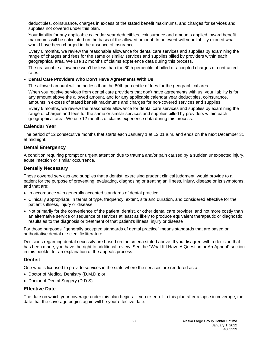deductibles, coinsurance, charges in excess of the stated benefit maximums, and charges for services and supplies not covered under this plan.

Your liability for any applicable calendar year deductibles, coinsurance and amounts applied toward benefit maximums will be calculated on the basis of the allowed amount. In no event will your liability exceed what would have been charged in the absence of insurance.

Every 6 months, we review the reasonable allowance for dental care services and supplies by examining the range of charges and fees for the same or similar services and supplies billed by providers within each geographical area. We use 12 months of claims experience data during this process.

The reasonable allowance won't be less than the 80th percentile of billed or accepted charges or contracted rates.

#### • **Dental Care Providers Who Don't Have Agreements With Us**

The allowed amount will be no less than the 80th percentile of fees for the geographical area.

When you receive services from dental care providers that don't have agreements with us, your liability is for any amount above the allowed amount, and for any applicable calendar year deductibles, coinsurance, amounts in excess of stated benefit maximums and charges for non-covered services and supplies.

Every 6 months, we review the reasonable allowance for dental care services and supplies by examining the range of charges and fees for the same or similar services and supplies billed by providers within each geographical area. We use 12 months of claims experience data during this process.

# **Calendar Year**

The period of 12 consecutive months that starts each January 1 at 12:01 a.m. and ends on the next December 31 at midnight.

# **Dental Emergency**

A condition requiring prompt or urgent attention due to trauma and/or pain caused by a sudden unexpected injury, acute infection or similar occurrence.

# **Dentally Necessary**

Those covered services and supplies that a dentist, exercising prudent clinical judgment, would provide to a patient for the purpose of preventing, evaluating, diagnosing or treating an illness, injury, disease or its symptoms, and that are:

- In accordance with generally accepted standards of dental practice
- Clinically appropriate, in terms of type, frequency, extent, site and duration, and considered effective for the patient's illness, injury or disease
- Not primarily for the convenience of the patient, dentist, or other dental care provider, and not more costly than an alternative service or sequence of services at least as likely to produce equivalent therapeutic or diagnostic results as to the diagnosis or treatment of that patient's illness, injury or disease

For those purposes, "generally accepted standards of dental practice" means standards that are based on authoritative dental or scientific literature.

Decisions regarding dental necessity are based on the criteria stated above. If you disagree with a decision that has been made, you have the right to additional review. See the "What If I Have A Question or An Appeal" section in this booklet for an explanation of the appeals process.

# **Dentist**

One who is licensed to provide services in the state where the services are rendered as a:

- Doctor of Medical Dentistry (D.M.D.); or
- Doctor of Dental Surgery (D.D.S).

# **Effective Date**

The date on which your coverage under this plan begins. If you re-enroll in this plan after a lapse in coverage, the date that the coverage begins again will be your effective date.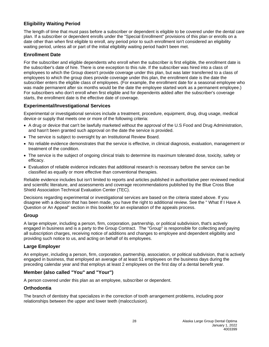# **Eligibility Waiting Period**

The length of time that must pass before a subscriber or dependent is eligible to be covered under the dental care plan. If a subscriber or dependent enrolls under the "Special Enrollment" provisions of this plan or enrolls on a date other than when first eligible to enroll, any period prior to such enrollment isn't considered an eligibility waiting period, unless all or part of the initial eligibility waiting period hadn't been met.

# **Enrollment Date**

For the subscriber and eligible dependents who enroll when the subscriber is first eligible, the enrollment date is the subscriber's date of hire. There is one exception to this rule. If the subscriber was hired into a class of employees to which the Group doesn't provide coverage under this plan, but was later transferred to a class of employees to which the group does provide coverage under this plan, the enrollment date is the date the subscriber enters the eligible class of employees. (For example, the enrollment date for a seasonal employee who was made permanent after six months would be the date the employee started work as a permanent employee.) For subscribers who don't enroll when first eligible and for dependents added after the subscriber's coverage starts, the enrollment date is the effective date of coverage.

# **Experimental/Investigational Services**

Experimental or investigational services include a treatment, procedure, equipment, drug, drug usage, medical device or supply that meets one or more of the following criteria:

- A drug or device that can't be lawfully marketed without the approval of the U.S Food and Drug Administration, and hasn't been granted such approval on the date the service is provided.
- The service is subject to oversight by an Institutional Review Board.
- No reliable evidence demonstrates that the service is effective, in clinical diagnosis, evaluation, management or treatment of the condition.
- The service is the subject of ongoing clinical trials to determine its maximum tolerated dose, toxicity, safety or efficacy.
- Evaluation of reliable evidence indicates that additional research is necessary before the service can be classified as equally or more effective than conventional therapies.

Reliable evidence includes but isn't limited to reports and articles published in authoritative peer reviewed medical and scientific literature, and assessments and coverage recommendations published by the Blue Cross Blue Shield Association Technical Evaluation Center (TEC).

Decisions regarding experimental or investigational services are based on the criteria stated above. If you disagree with a decision that has been made, you have the right to additional review. See the " What If I Have A Question or An Appeal" section in this booklet for an explanation of the appeals process.

# **Group**

A large employer, including a person, firm, corporation, partnership, or political subdivision, that's actively engaged in business and is a party to the Group Contract. The "Group" is responsible for collecting and paying all subscription charges, receiving notice of additions and changes to employee and dependent eligibility and providing such notice to us, and acting on behalf of its employees.

# **Large Employer**

An employer, including a person, firm, corporation, partnership, association, or political subdivision, that is actively engaged in business, that employed an average of at least 51 employees on the business days during the preceding calendar year and that employs at least 2 employees on the first day of a dental benefit year.

# **Member (also called "You" and "Your")**

A person covered under this plan as an employee, subscriber or dependent.

# **Orthodontia**

The branch of dentistry that specializes in the correction of tooth arrangement problems, including poor relationships between the upper and lower teeth (malocclusion).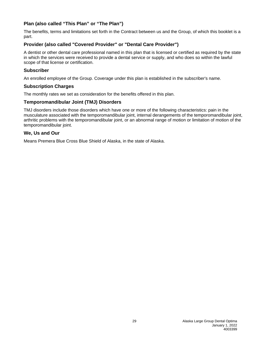# **Plan (also called "This Plan" or "The Plan")**

The benefits, terms and limitations set forth in the Contract between us and the Group, of which this booklet is a part.

# **Provider (also called "Covered Provider" or "Dental Care Provider")**

A dentist or other dental care professional named in this plan that is licensed or certified as required by the state in which the services were received to provide a dental service or supply, and who does so within the lawful scope of that license or certification.

# **Subscriber**

An enrolled employee of the Group. Coverage under this plan is established in the subscriber's name.

# **Subscription Charges**

The monthly rates we set as consideration for the benefits offered in this plan.

# **Temporomandibular Joint (TMJ) Disorders**

TMJ disorders include those disorders which have one or more of the following characteristics: pain in the musculature associated with the temporomandibular joint, internal derangements of the temporomandibular joint, arthritic problems with the temporomandibular joint, or an abnormal range of motion or limitation of motion of the temporomandibular joint.

# **We, Us and Our**

Means Premera Blue Cross Blue Shield of Alaska, in the state of Alaska.